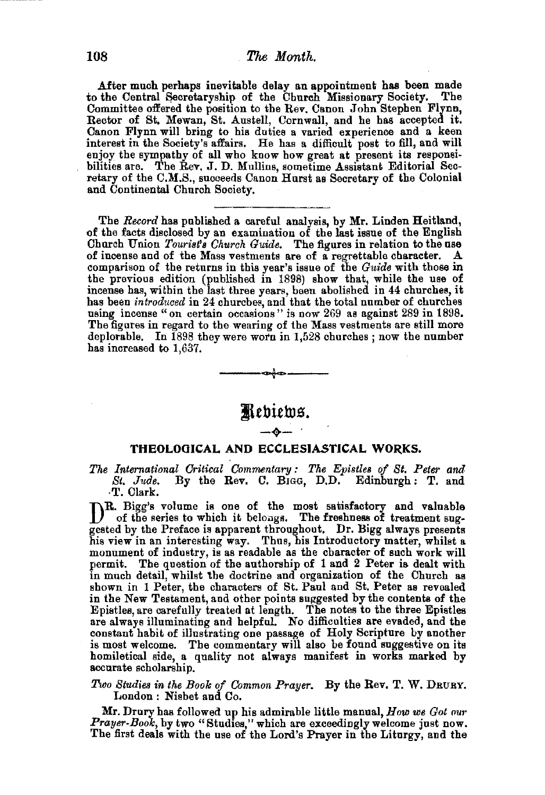After much perhaps inevitable delay an appointment has been made to the Central Secretaryship of the Church Missionary Society. The Committee offered the position to the Rev. Canon John Stephen Flynn, Rector of St. Mewan, St. Austell, Cornwall, and he has accepted it. Canon Flynn will bring to his duties a varied experience and a keen interest in the Society's affairs, He has a difficult post to fill, and will enjoy the sympathy of all who know how great at present its responsibilities are. The Rev. J. D. Mullins, sometime Assistant Editorial Secretary of the C.M.S., succeeds Canon Hurst as Secretary of the Colonial and Continental Church Society.

The *Record* has published a careful analysis, by Mr. Linden Heitland, of the facts disclosed by an examination of the last issue of the English Church Union Tourist's Church Guide. The figures in relation to the use of incense and of the Mass vestments are of a regrettable character. A comparison of the returns in this year's issue of the *Guide* with those in the previous edition (published in 1898) show that, while the use of incense has, within the last three years, been abolished in 44 churches, it has been *introduced* in 24 churches, and that the total number of churches using incense "on certain occasions" is now 269 as against 289 in 1898. The figures in regard to the wearing of the Mass vestments are still more deplorable. In 1898 they were worn in 1,528 churches ; now the number has increased to 1,637. ---t---



#### **THEOLOGICAL AND ECCLESIASTICAL WORKS.**

*The International Critical Commentary : The Epistles of St. Peter and*  By the Rev. C. BIGG, D.D. Edinburgh: T. and ·T. Clark.

DR. Bigg's volume is one of the most satisfactory and valuable of the series to which it belongs. The freshness of treatment suggested by the Preface is apparent throughout. Dr. Bigg always presents his view in an interesting way. Thus, his Introductory matter, whilst a monument of industry, is as readable as the character of such work will permit. The question of the authorship of 1 and 2 Peter is dealt with in much detail, whilst the doctrine and organization of the Church as shown in 1 Peter, the characters of St. Paul and St. Peter as revealed in the New Testament, and other points suggested by the contents of the Epistles, are carefully treated at length. The notes to the three Epistles are always illuminating and helpful. No difficulties are evaded, and the constant habit of illustrating one passage of Holy Scripture by another is most welcome. The commentary will also be found suggestive on its homiletical side, a quality not always manifest in works marked by accurate scholarship.

#### *Two Studies in the Book of Common Prayer.* By the Rev. T. W. DRURY. London : Nisbet and Co.

Mr. Drury has followed up his admirable little manual, *How we Got our Prayer-Book,* by two "Studies," which are exceedingly welcome just now. The first deals with the use of the Lord's Prayer in the Liturgy, and the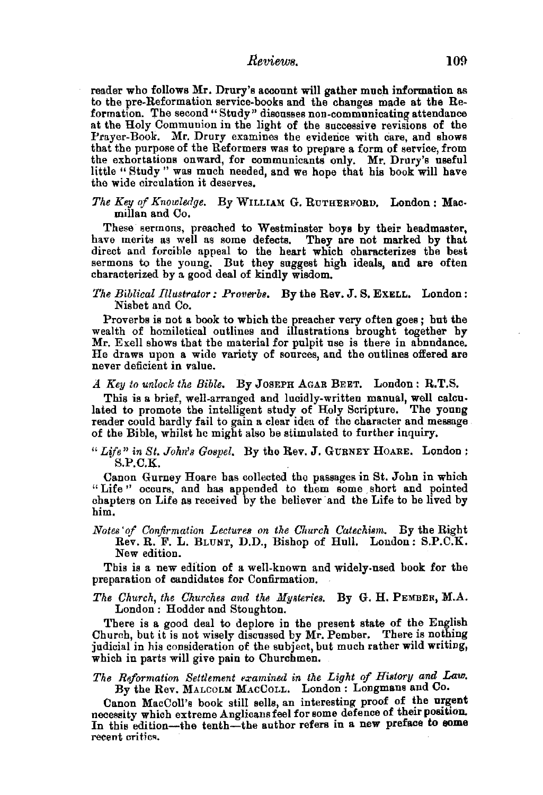### *Reviews.* 109

reader who follows Mr. Drury's account will gather much information as to the pre-Reformation service-books and the changes made at the Reformation. The second "Study" discusses non-communicating attendance at the Holy Communion in the light of the successive revisions of the Prayer-Book. Mr. Drury examines the evidence with care, and shows that the purpose of the Reformers was to prepare a form of service, from the exhortations onward, for communicants only. Mr. Drury's useful little "Study " was much needed, and we hope that his book will have the wide circulation it deserves.

The Key of Knowledge. By WILLIAM G. RUTHERFORD. London: Macmillan and Co.

These sermons, preached to Westminster boys by their headmaster, have merits as well as some defects. They are not marked by that direct and forcible appeal to the heart which characterizes the best sermons to the young. But they suggest high ideals, and are often characterized by a good deal of kindly wisdom.

*The Biblical Illustrator: Proverb8.* By the Rev. J. S. ExELL, London: Nisbet and Co.

Proverbs is not a book to which the preacher very often goes; but the wealth of homiletical outlines and illustrations brought together by Mr. Exell shows that the material for pulpit nse is there in abundance. He draws upon a wide variety of sources, and the outlines offered are never deficient in value.

#### *A Key to unlock the Bible.* By JoSEPH AGAR BEET. London: R.T.S.

This is a brief, well-arranged and lucidly-written manual, well calculated to promote the intelligent study of Holy Scripture. The yonng reader could hardly fail to gain a clear idea of the character and message of the Bible, whilst he might also be stimulated to further inquiry.

#### *"Life" in St. John's Gospel.* By the Rev. J. GURNEY HoARE. London: S.P.C.K.

Canon Gurney Hoare has collected the passages in St. John in which "Life" occurs, and has appended to them some short and pointed chapters on Life as received by the believer and the Life to be lived by him.

*Notes' of Confirmation Lectures on the OhUI·ch Catechism.* By the Right Rev. R. F. L. BLUNT, D.D., Bishop of Hull. London: S.P.C.K. New edition.

Tbis is a new edition of a well-known and widely-used book for the preparation of candidates for Confirmation.

*The Church, the Churches and the Mysteries.* By G. H. PEMBER, M.A. London : Hodder and Stoughton.

There is a good deal to deplore in the present state of the English Church, but it is not wisely discussed by  $Mr.$  Pember. There is nothing judicial in his consideration of the subject, but much rather wild writing, which in parts will give pain to Churchmen.

#### The Reformation Settlement examined in the Light of History and Law. By the Rev. MALCOLM MACCOLL. London : Longmans and Co.

Canon MacColl's book still sells, an interesting proof of the urgent necessity which extreme Anglicans feel for some defence of their position. In this edition-the tenth-the author refers in a new preface to some recent critics.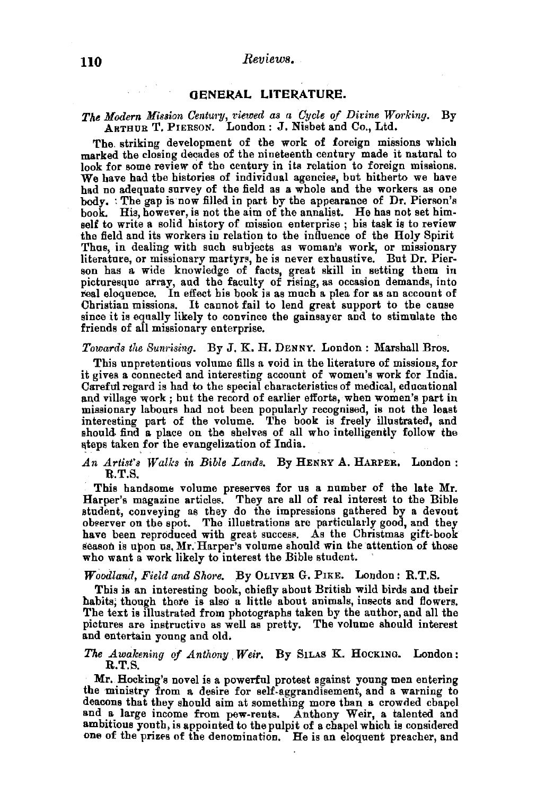#### GENERAL LITERATURE.

# The Modern Mission Century, viewed as a Cycle of Divine Working. By<br>ARTHUR T. PIERSON. London: J. Nisbet and Co., Ltd.

The. striking development of the work of foreign missions which marked the closing decades of the nineteenth century made it natural to look for some review of the century in its relation to foreign missions. We have had the histories of individual agencies, but hitherto we have<br>had no adequate survey of the field as a whole and the workers as one body. : The gap is now filled in part by the appearance of Dr. Pierson's book. His, however, is not the aim of the annalist. He has not set himself to write a solid history of mission enterprise ; his task is to review the field and its workers in relation to the influence of the Holy Spirit Thus, in dealing with such subjects as woman's work, or missionary<br>literature, or missionary martyrs, he is never exhaustive. But Dr. Pierliterature, or missionary martyrs, he is never exhaustive. But Dr. Pier-<br>son has a wide knowledge of facts, great skill in setting them in picturesque array, and the faculty of rising, as occasion demands, into real eloquence. In effect his book is as much a plea for as an account of Christian missions. It cannot fail to lend great support to the cause since it is equally likely to convince the gainsayer and to stimulate the friends of all missionary enterprise.

#### *Towards the Sum·ising.* By J. K. H. DENNY. London: Marshall Bros.

This unpretentious volume fills a void in the literature of missions, for it gives a connected and interesting account of women's work for India. Careful regard is had to the special characteristics of medical, educational and village work; but the record of earlier efforts, when women's part in missionary labours had not been popularly recognised, is not the least interesting part of the volume. The book is freely illustrated, and should find a place on the shelves of all who intelligently follow the ateps taken for the evangelization of India.

#### *An Artist's Walks in Bible Lands.* By HENRY A. HARPER, London: R.T.S.

This handsome volume preserves for us a number of the late Mr. Harper's magazine articles. They are all of real interest to the Bible student, conveying as they do the impressions gathered by a devout observer on the spot. The illustrations are particularly good, and they have been reproduced with great success. As the Christmas gift-book season is upon us, Mr. Harper's volume should win the attention of those who want a work likely to interest the Bible student.

#### *Woodland, Field and Shore.* By OLIVER G. PIKE. London: R.T.S.

This is an interesting book, chiefly about British wild birds and their habits; though there is also a little about animals, insects and flowers. The text is illustrated from photographs taken by the author, and all the pictures are instructive as well as pretty. The volume should interest and entertain young and old,

#### *The Awakening of Anthony. Weir.* By SILAS K. HocKING. London: R.T.S.

Mr. Hocking's novel is a powerful protest against young men entering the ministry from a desire for self.aggrandisement, and a warning to deacons that they should aim at something more than a crowded chapel and a large income from pew-rents. Anthony Weir, a talented and ambitious youth, is appointed to the pulpit of a chapel which is considered one of the prizes of the denomination. He is an eloquent preacher, and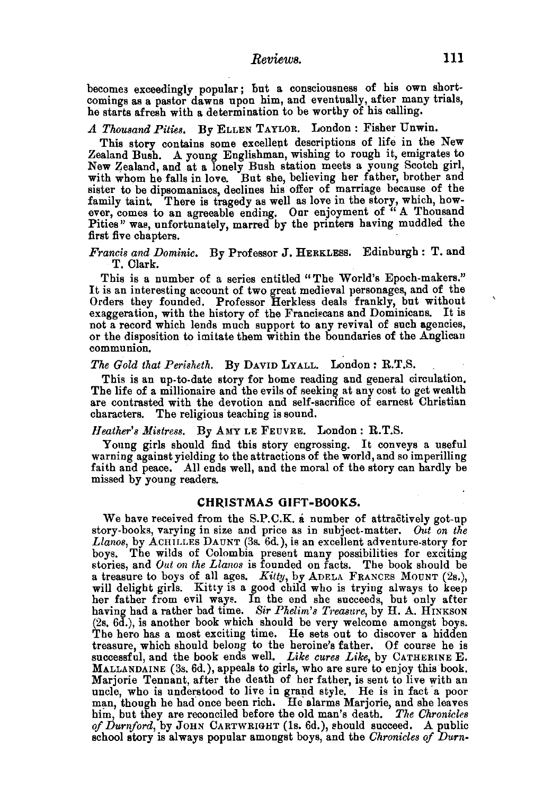becomes exceedingly popular; but a consciousness of his own shortcomings as a pastor dawns upon him, and eventually, after many trials, he starts afresh with a determination to be worthy of his calling.

# *A Thousand Pities,* By ELLEN TAYLOR. London: Fisher Unwin.

This story contains some excellent descriptions of life in the New Zealand Bush. A young Englishman, wishing to rough it, emigrates to New Zealand, and at a lonely Bush station meets a young Scotch girl, with whom he falls in love. But she, believing her father, brother and sister to be dipsomaniacs, declines his offer of marriage because of the family taint, There is tragedy as well as love in the story, which, however, comes to an agreeable ending. Our enjoyment of " A Thousand Pities" was, unfortunately, marred by the printers having muddled the first five chapters.

*Francis and Dominic.* By Professor J. HERKLESS. Edinburgh: T. and T. Clark.

This is a number of a series entitled "The World's Epoch-makers." It is an interesting account of two great medieval personages, and of the Orders they founded. Professor Herkless deals frankly, but without exaggeration, with the history of the Franciscans and Dominicans. It is not a record which lends much support to any revival of such agencies, or the disposition to imitate them within the boundaries of the Anglican communion.

#### *The Gold that Pm·isheth.* By DAVID LYALL. London: R.T.S.

This is an up-to-date story for home reading and general circulation.<br>The life of a millionaire and the evils of seeking at any cost to get wealth are contrasted with the devotion and self-sacrifice of earnest Christian characters. The religious teaching is sound.

## Heather's Mistress. By AMY LE FEUVRE. London: R.T.S.

Young girls should find this story engrossing. It conveys a useful warning against yielding to the attractions of the world, and so imperilling faith and peace. All ends well, and the moral of the story can hardly be missed by young readers.

#### **CHRISTMAS OIFT·BOOK.S.**

We have received from the S.P.C.K. a number of attractively got-up story-books, varying in size and price as in subject-matter. Out on the *Llanos,* by ACHILLES DAUNT (3s. 6d.), is an excellent adventure-story for boys. The wilds of Colombia present many possibilities for exciting stories, and Out on the Llanos is founded on facts. The book should be a treasure to boys of all ages. Kitty, by ADELA FRANCES MOUNT (2s.), will delight girls. Kitty is a good child who is trying always to keep her father from evil ways. In the end she succeeds, but only after having had a rather bad time. *Sir Phelim's Treasure*, by H. A. HINKSON  $(2s. 6d.)$ , is another book which should be very welcome amongst boys. The hero has a most exciting time. He sets out to discover a hidden treasure, which should belong to the heroine's father. Of course he is successful, and the book ends well. *Like cures Like,* by CATHERINE E. MALLANDAINE (3s. 6d.), appeals to girls, who are sure to enjoy this book.<br>Marjorie Tennant, after the death of her father, is sent to live with an uncle, who is understood to live in grand style. He is in fact a poor man, though he had once been rich. He alarms Marjorie, and she leaves him, but they are reconciled before the old man's death. *The Chronicles of Dut•nford,* by JoHN CARTWRIGHT (ls. 6d.), should succeed. A public school story is always popular amongst boys, and the *Chronicles of Durn-*